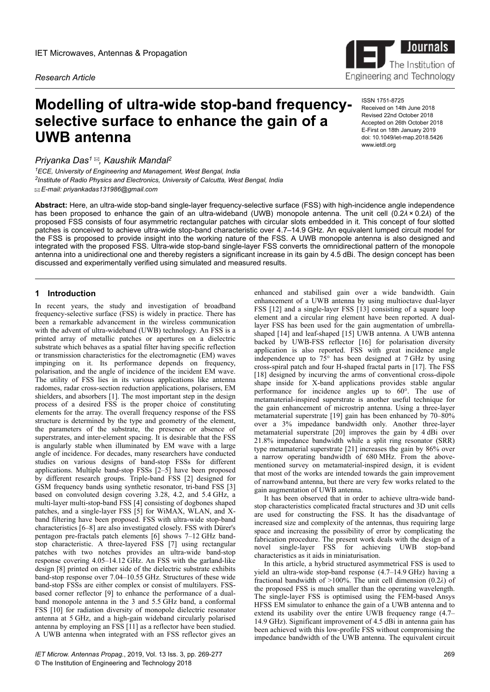*Research Article*

# **Modelling of ultra-wide stop-band frequencyselective surface to enhance the gain of a UWB antenna**

*Priyanka Das<sup>1</sup> , Kaushik Mandal<sup>2</sup>*

*<sup>1</sup>ECE, University of Engineering and Management, West Bengal, India 2 Institute of Radio Physics and Electronics, University of Calcutta, West Bengal, India E-mail: priyankadas131986@gmail.com*

**Abstract:** Here, an ultra-wide stop-band single-layer frequency-selective surface (FSS) with high-incidence angle independence has been proposed to enhance the gain of an ultra-wideband (UWB) monopole antenna. The unit cell (0.2*λ* × 0.2*λ*) of the proposed FSS consists of four asymmetric rectangular patches with circular slots embedded in it. This concept of four slotted patches is conceived to achieve ultra-wide stop-band characteristic over 4.7–14.9 GHz. An equivalent lumped circuit model for the FSS is proposed to provide insight into the working nature of the FSS. A UWB monopole antenna is also designed and integrated with the proposed FSS. Ultra-wide stop-band single-layer FSS converts the omnidirectional pattern of the monopole antenna into a unidirectional one and thereby registers a significant increase in its gain by 4.5 dBi. The design concept has been discussed and experimentally verified using simulated and measured results.

# **1 Introduction**

In recent years, the study and investigation of broadband frequency-selective surface (FSS) is widely in practice. There has been a remarkable advancement in the wireless communication with the advent of ultra-wideband (UWB) technology. An FSS is a printed array of metallic patches or apertures on a dielectric substrate which behaves as a spatial filter having specific reflection or transmission characteristics for the electromagnetic (EM) waves impinging on it. Its performance depends on frequency, polarisation, and the angle of incidence of the incident EM wave. The utility of FSS lies in its various applications like antenna radomes, radar cross-section reduction applications, polarisers, EM shielders, and absorbers [1]. The most important step in the design process of a desired FSS is the proper choice of constituting elements for the array. The overall frequency response of the FSS structure is determined by the type and geometry of the element, the parameters of the substrate, the presence or absence of superstrates, and inter-element spacing. It is desirable that the FSS is angularly stable when illuminated by EM wave with a large angle of incidence. For decades, many researchers have conducted studies on various designs of band-stop FSSs for different applications. Multiple band-stop FSSs [2–5] have been proposed by different research groups. Triple-band FSS [2] designed for GSM frequency bands using synthetic resonator, tri-band FSS [3] based on convoluted design covering 3.28, 4.2, and 5.4 GHz, a multi-layer multi-stop-band FSS [4] consisting of dogbones shaped patches, and a single-layer FSS [5] for WiMAX, WLAN, and Xband filtering have been proposed. FSS with ultra-wide stop-band characteristics [6–8] are also investigated closely. FSS with Dürer's pentagon pre-fractals patch elements [6] shows 7–12 GHz bandstop characteristic. A three-layered FSS [7] using rectangular patches with two notches provides an ultra-wide band-stop response covering 4.05–14.12 GHz. An FSS with the garland-like design [8] printed on either side of the dielectric substrate exhibits band-stop response over 7.04–10.55 GHz. Structures of these wide band-stop FSSs are either complex or consist of multilayers. FSSbased corner reflector [9] to enhance the performance of a dualband monopole antenna in the 3 and 5.5 GHz band, a conformal FSS [10] for radiation diversity of monopole dielectric resonator antenna at 5 GHz, and a high-gain wideband circularly polarised antenna by employing an FSS [11] as a reflector have been studied. A UWB antenna when integrated with an FSS reflector gives an

enhanced and stabilised gain over a wide bandwidth. Gain enhancement of a UWB antenna by using multioctave dual-layer FSS [12] and a single-layer FSS [13] consisting of a square loop element and a circular ring element have been reported. A duallayer FSS has been used for the gain augmentation of umbrellashaped [14] and leaf-shaped [15] UWB antenna. A UWB antenna backed by UWB-FSS reflector [16] for polarisation diversity application is also reported. FSS with great incidence angle independence up to 75° has been designed at 7 GHz by using cross-spiral patch and four H-shaped fractal parts in [17]. The FSS [18] designed by incurving the arms of conventional cross-dipole shape inside for X-band applications provides stable angular performance for incidence angles up to 60°. The use of metamaterial-inspired superstrate is another useful technique for the gain enhancement of microstrip antenna. Using a three-layer metamaterial superstrate [19] gain has been enhanced by 70–80% over a 3% impedance bandwidth only. Another three-layer metamaterial superstrate [20] improves the gain by 4 dBi over 21.8% impedance bandwidth while a split ring resonator (SRR) type metamaterial superstrate [21] increases the gain by 86% over a narrow operating bandwidth of 680 MHz. From the abovementioned survey on metamaterial-inspired design, it is evident that most of the works are intended towards the gain improvement of narrowband antenna, but there are very few works related to the gain augmentation of UWB antenna.

It has been observed that in order to achieve ultra-wide bandstop characteristics complicated fractal structures and 3D unit cells are used for constructing the FSS. It has the disadvantage of increased size and complexity of the antennas, thus requiring large space and increasing the possibility of error by complicating the fabrication procedure. The present work deals with the design of a novel single-layer FSS for achieving UWB stop-band characteristics as it aids in miniaturisation.

In this article, a hybrid structured asymmetrical FSS is used to yield an ultra-wide stop-band response (4.7–14.9 GHz) having a fractional bandwidth of >100%. The unit cell dimension (0.2*λ*) of the proposed FSS is much smaller than the operating wavelength. The single-layer FSS is optimised using the FEM-based Ansys HFSS EM simulator to enhance the gain of a UWB antenna and to extend its usability over the entire UWB frequency range (4.7– 14.9 GHz). Significant improvement of 4.5 dBi in antenna gain has been achieved with this low-profile FSS without compromising the impedance bandwidth of the UWB antenna. The equivalent circuit



ISSN 1751-8725 Received on 14th June 2018 Revised 22nd October 2018 Accepted on 26th October 2018 E-First on 18th January 2019 doi: 10.1049/iet-map.2018.5426 www.ietdl.org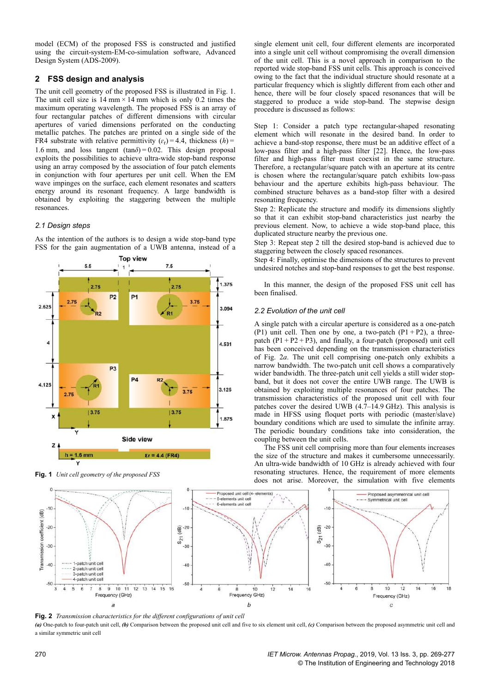model (ECM) of the proposed FSS is constructed and justified using the circuit-system-EM-co-simulation software, Advanced Design System (ADS-2009).

# **2 FSS design and analysis**

The unit cell geometry of the proposed FSS is illustrated in Fig. 1. The unit cell size is 14 mm × 14 mm which is only 0.2 times the maximum operating wavelength. The proposed FSS is an array of four rectangular patches of different dimensions with circular apertures of varied dimensions perforated on the conducting metallic patches. The patches are printed on a single side of the FR4 substrate with relative permittivity  $(\varepsilon_r) = 4.4$ , thickness  $(h) =$ 1.6 mm, and loss tangent  $(tan \delta) = 0.02$ . This design proposal exploits the possibilities to achieve ultra-wide stop-band response using an array composed by the association of four patch elements in conjunction with four apertures per unit cell. When the EM wave impinges on the surface, each element resonates and scatters energy around its resonant frequency. A large bandwidth is obtained by exploiting the staggering between the multiple resonances.

## *2.1 Design steps*

As the intention of the authors is to design a wide stop-band type FSS for the gain augmentation of a UWB antenna, instead of a



**Fig. 1** *Unit cell geometry of the proposed FSS*

single element unit cell, four different elements are incorporated into a single unit cell without compromising the overall dimension of the unit cell. This is a novel approach in comparison to the reported wide stop-band FSS unit cells. This approach is conceived owing to the fact that the individual structure should resonate at a particular frequency which is slightly different from each other and hence, there will be four closely spaced resonances that will be staggered to produce a wide stop-band. The stepwise design procedure is discussed as follows:

Step 1: Consider a patch type rectangular-shaped resonating element which will resonate in the desired band. In order to achieve a band-stop response, there must be an additive effect of a low-pass filter and a high-pass filter [22]. Hence, the low-pass filter and high-pass filter must coexist in the same structure. Therefore, a rectangular/square patch with an aperture at its centre is chosen where the rectangular/square patch exhibits low-pass behaviour and the aperture exhibits high-pass behaviour. The combined structure behaves as a band-stop filter with a desired resonating frequency.

Step 2: Replicate the structure and modify its dimensions slightly so that it can exhibit stop-band characteristics just nearby the previous element. Now, to achieve a wide stop-band place, this duplicated structure nearby the previous one.

Step 3: Repeat step 2 till the desired stop-band is achieved due to staggering between the closely spaced resonances.

Step 4: Finally, optimise the dimensions of the structures to prevent undesired notches and stop-band responses to get the best response.

In this manner, the design of the proposed FSS unit cell has been finalised.

## *2.2 Evolution of the unit cell*

A single patch with a circular aperture is considered as a one-patch (P1) unit cell. Then one by one, a two-patch  $(P1 + P2)$ , a threepatch  $(P1 + P2 + P3)$ , and finally, a four-patch (proposed) unit cell has been conceived depending on the transmission characteristics of Fig. 2*a*. The unit cell comprising one-patch only exhibits a narrow bandwidth. The two-patch unit cell shows a comparatively wider bandwidth. The three-patch unit cell yields a still wider stopband, but it does not cover the entire UWB range. The UWB is obtained by exploiting multiple resonances of four patches. The transmission characteristics of the proposed unit cell with four patches cover the desired UWB  $(4.7-14.9 \text{ GHz})$ . This analysis is made in HFSS using floquet ports with periodic (master/slave) boundary conditions which are used to simulate the infinite array. The periodic boundary conditions take into consideration, the coupling between the unit cells.

The FSS unit cell comprising more than four elements increases the size of the structure and makes it cumbersome unnecessarily. An ultra-wide bandwidth of 10 GHz is already achieved with four resonating structures. Hence, the requirement of more elements does not arise. Moreover, the simulation with five elements



**Fig. 2** *Transmission characteristics for the different configurations of unit cell*

*(a)* One-patch to four-patch unit cell, *(b)* Comparison between the proposed unit cell and five to six element unit cell, *(c)* Comparison between the proposed asymmetric unit cell and a similar symmetric unit cell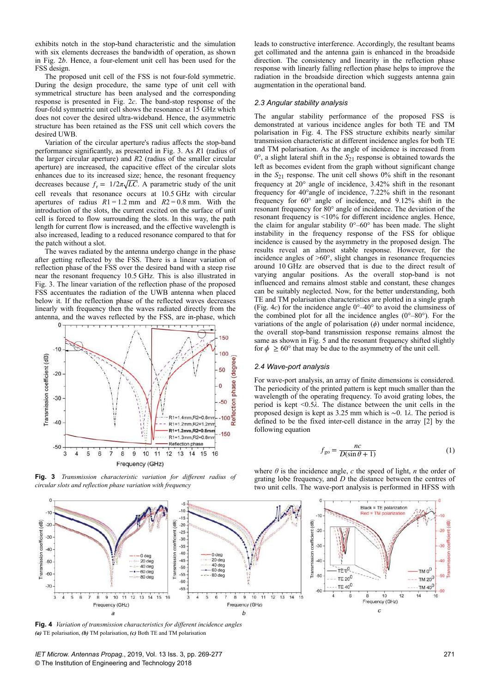exhibits notch in the stop-band characteristic and the simulation with six elements decreases the bandwidth of operation, as shown in Fig. 2*b*. Hence, a four-element unit cell has been used for the FSS design.

The proposed unit cell of the FSS is not four-fold symmetric. During the design procedure, the same type of unit cell with symmetrical structure has been analysed and the corresponding response is presented in Fig. 2*c*. The band-stop response of the four-fold symmetric unit cell shows the resonance at 15 GHz which does not cover the desired ultra-wideband. Hence, the asymmetric structure has been retained as the FSS unit cell which covers the desired UWB.

Variation of the circular aperture's radius affects the stop-band performance significantly, as presented in Fig. 3. As *R*1 (radius of the larger circular aperture) and *R*2 (radius of the smaller circular aperture) are increased, the capacitive effect of the circular slots enhances due to its increased size; hence, the resonant frequency decreases because  $f_r = 1/2\pi\sqrt{LC}$ . A parametric study of the unit cell reveals that resonance occurs at 10.5 GHz with circular apertures of radius *R*1 = 1.2 mm and *R*2 = 0.8 mm. With the introduction of the slots, the current excited on the surface of unit cell is forced to flow surrounding the slots. In this way, the path length for current flow is increased, and the effective wavelength is also increased, leading to a reduced resonance compared to that for the patch without a slot.

The waves radiated by the antenna undergo change in the phase after getting reflected by the FSS. There is a linear variation of reflection phase of the FSS over the desired band with a steep rise near the resonant frequency 10.5 GHz. This is also illustrated in Fig. 3. The linear variation of the reflection phase of the proposed FSS accentuates the radiation of the UWB antenna when placed below it. If the reflection phase of the reflected waves decreases linearly with frequency then the waves radiated directly from the antenna, and the waves reflected by the FSS, are in-phase, which



**Fig. 3** *Transmission characteristic variation for different radius of circular slots and reflection phase variation with frequency*

leads to constructive interference. Accordingly, the resultant beams get collimated and the antenna gain is enhanced in the broadside direction. The consistency and linearity in the reflection phase response with linearly falling reflection phase helps to improve the radiation in the broadside direction which suggests antenna gain augmentation in the operational band.

## *2.3 Angular stability analysis*

The angular stability performance of the proposed FSS is demonstrated at various incidence angles for both TE and TM polarisation in Fig. 4. The FSS structure exhibits nearly similar transmission characteristic at different incidence angles for both TE and TM polarisation. As the angle of incidence is increased from  $0^{\circ}$ , a slight lateral shift in the  $S_{21}$  response is obtained towards the left as becomes evident from the graph without significant change in the  $S_{21}$  response. The unit cell shows 0% shift in the resonant frequency at 20° angle of incidence, 3.42% shift in the resonant frequency for 40°angle of incidence, 7.22% shift in the resonant frequency for 60° angle of incidence, and 9.12% shift in the resonant frequency for 80° angle of incidence. The deviation of the resonant frequency is <10% for different incidence angles. Hence, the claim for angular stability  $0^{\circ}$ –60° has been made. The slight instability in the frequency response of the FSS for oblique incidence is caused by the asymmetry in the proposed design. The results reveal an almost stable response. However, for the incidence angles of >60°, slight changes in resonance frequencies around 10 GHz are observed that is due to the direct result of varying angular positions. As the overall stop-band is not influenced and remains almost stable and constant, these changes can be suitably neglected. Now, for the better understanding, both TE and TM polarisation characteristics are plotted in a single graph (Fig. 4*c*) for the incidence angle 0°–40° to avoid the clumsiness of the combined plot for all the incidence angles  $(0^{\circ}-80^{\circ})$ . For the variations of the angle of polarisation (*ϕ*) under normal incidence, the overall stop-band transmission response remains almost the same as shown in Fig. 5 and the resonant frequency shifted slightly for  $\phi \ge 60^\circ$  that may be due to the asymmetry of the unit cell.

### *2.4 Wave-port analysis*

For wave-port analysis, an array of finite dimensions is considered. The periodicity of the printed pattern is kept much smaller than the wavelength of the operating frequency. To avoid grating lobes, the period is kept <0.5*λ*. The distance between the unit cells in the proposed design is kept as 3.25 mm which is ∼0. 1*λ*. The period is defined to be the fixed inter-cell distance in the array [2] by the following equation

where  $\theta$  is the incidence angle,  $c$  the speed of light,  $n$  the order of

$$
f_{\text{go}} = \frac{nc}{D(\sin \theta + 1)}\tag{1}
$$



grating lobe frequency, and *D* the distance between the centres of two unit cells. The wave-port analysis is performed in HFSS with

**Fig. 4** *Variation of transmission characteristics for different incidence angles (a)* TE polarisation, *(b)* TM polarisation, *(c)* Both TE and TM polarisation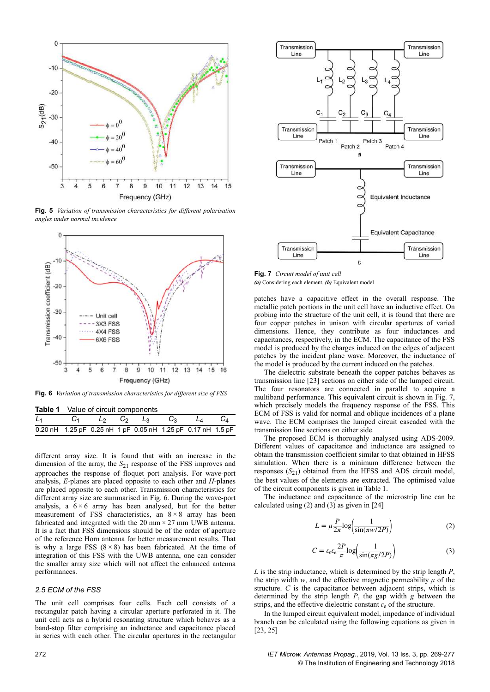

**Fig. 5** *Variation of transmission characteristics for different polarisation angles under normal incidence*



**Fig. 6** *Variation of transmission characteristics for different size of FSS*

| <b>Table 1</b> Value of circuit components |  |  |                                                             |  |  |  |  |
|--------------------------------------------|--|--|-------------------------------------------------------------|--|--|--|--|
|                                            |  |  | $L_1$ $C_1$ $L_2$ $C_2$ $L_3$ $C_3$ $L_4$ $C_4$             |  |  |  |  |
|                                            |  |  | 0.20 nH 1.25 pF 0.25 nH 1 pF 0.05 nH 1.25 pF 0.17 nH 1.5 pF |  |  |  |  |

different array size. It is found that with an increase in the dimension of the array, the *S*21 response of the FSS improves and approaches the response of floquet port analysis. For wave-port analysis, *E*-planes are placed opposite to each other and *H*-planes are placed opposite to each other. Transmission characteristics for different array size are summarised in Fig. 6. During the wave-port analysis, a  $6 \times 6$  array has been analysed, but for the better measurement of FSS characteristics, an  $8 \times 8$  array has been fabricated and integrated with the 20 mm  $\times$  27 mm UWB antenna. It is a fact that FSS dimensions should be of the order of aperture of the reference Horn antenna for better measurement results. That is why a large FSS  $(8 \times 8)$  has been fabricated. At the time of integration of this FSS with the UWB antenna, one can consider the smaller array size which will not affect the enhanced antenna performances.

#### *2.5 ECM of the FSS*

The unit cell comprises four cells. Each cell consists of a rectangular patch having a circular aperture perforated in it. The unit cell acts as a hybrid resonating structure which behaves as a band-stop filter comprising an inductance and capacitance placed in series with each other. The circular apertures in the rectangular



**Fig. 7** *Circuit model of unit cell (a)* Considering each element, *(b)* Equivalent model

patches have a capacitive effect in the overall response. The metallic patch portions in the unit cell have an inductive effect. On probing into the structure of the unit cell, it is found that there are four copper patches in unison with circular apertures of varied dimensions. Hence, they contribute as four inductances and capacitances, respectively, in the ECM. The capacitance of the FSS model is produced by the charges induced on the edges of adjacent patches by the incident plane wave. Moreover, the inductance of the model is produced by the current induced on the patches.

The dielectric substrate beneath the copper patches behaves as transmission line [23] sections on either side of the lumped circuit. The four resonators are connected in parallel to acquire a multiband performance. This equivalent circuit is shown in Fig. 7, which precisely models the frequency response of the FSS. This ECM of FSS is valid for normal and oblique incidences of a plane wave. The ECM comprises the lumped circuit cascaded with the transmission line sections on either side.

The proposed ECM is thoroughly analysed using ADS-2009. Different values of capacitance and inductance are assigned to obtain the transmission coefficient similar to that obtained in HFSS simulation. When there is a minimum difference between the responses  $(S_{21})$  obtained from the HFSS and ADS circuit model, the best values of the elements are extracted. The optimised value of the circuit components is given in Table 1.

The inductance and capacitance of the microstrip line can be calculated using (2) and (3) as given in [24]

$$
L = \mu \frac{P}{2\pi} \log \left( \frac{1}{\sin(\pi w/2P)} \right) \tag{2}
$$

$$
C = \varepsilon_0 \varepsilon_e \frac{2P}{\pi} \log \left( \frac{1}{\sin(\pi g/2P)} \right) \tag{3}
$$

*L* is the strip inductance, which is determined by the strip length *P*, the strip width *w*, and the effective magnetic permeability  $\mu$  of the structure. *C* is the capacitance between adjacent strips, which is determined by the strip length *P*, the gap width *g* between the strips, and the effective dielectric constant  $\varepsilon$ <sub>e</sub> of the structure.

In the lumped circuit equivalent model, impedance of individual branch can be calculated using the following equations as given in [23, 25]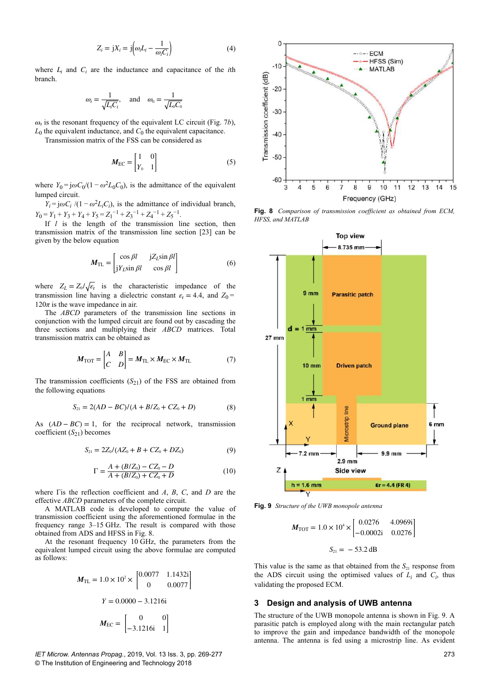$$
Z_i = jX_i = j\left(\omega_i L_i - \frac{1}{\omega_i C_i}\right) \tag{4}
$$

where  $L_i$  and  $C_i$  are the inductance and capacitance of the *i*th branch.

$$
\omega_i = \frac{1}{\sqrt{L_i C_i}}, \text{ and } \omega_0 = \frac{1}{\sqrt{L_0 C_0}}
$$

 $\omega_0$  is the resonant frequency of the equivalent LC circuit (Fig. 7*b*),  $L_0$  the equivalent inductance, and  $C_0$  the equivalent capacitance.

Transmission matrix of the FSS can be considered as

$$
M_{\rm EC} = \begin{bmatrix} 1 & 0 \\ Y_0 & 1 \end{bmatrix} \tag{5}
$$

where  $Y_0 = j\omega C_0/(1 - \omega^2 L_0 C_0)$ , is the admittance of the equivalent lumped circuit.

*Y*<sub>*i*</sub> =  $j\omega C_i$  /(1 −  $\omega^2 L_i C_i$ ), is the admittance of individual branch,  $Y_0 = Y_1 + Y_3 + Y_4 + Y_5 = Z_1^{-1} + Z_3^{-1} + Z_4^{-1} + Z_5^{-1}$ .

If *l* is the length of the transmission line section, then transmission matrix of the transmission line section [23] can be given by the below equation

$$
M_{\rm TL} = \begin{bmatrix} \cos \beta l & jZ_L \sin \beta l \\ jY_L \sin \beta l & \cos \beta l \end{bmatrix}
$$
 (6)

where  $Z_L = Z_0 / \sqrt{\epsilon_r}$  is the characteristic impedance of the transmission line having a dielectric constant  $\varepsilon$ <sub>r</sub> = 4.4, and  $Z_0$  =  $120\pi$  is the wave impedance in air.

The *ABCD* parameters of the transmission line sections in conjunction with the lumped circuit are found out by cascading the three sections and multiplying their *ABCD* matrices. Total transmission matrix can be obtained as

$$
M_{\text{TOT}} = \begin{bmatrix} A & B \\ C & D \end{bmatrix} = M_{\text{TL}} \times M_{\text{EC}} \times M_{\text{TL}} \tag{7}
$$

The transmission coefficients  $(S_{21})$  of the FSS are obtained from the following equations

$$
S_{21} = 2(AD - BC)/(A + B/Z_0 + CZ_0 + D)
$$
 (8)

As  $(AD - BC) = 1$ , for the reciprocal network, transmission coefficient  $(S_{21})$  becomes

$$
S_{21} = 2Z_0/(AZ_0 + B + CZ_0 + DZ_0)
$$
\n(9)

$$
\Gamma = \frac{A + (B/Z_0) - CZ_0 - D}{A + (B/Z_0) + CZ_0 + D}
$$
\n(10)

where Γis the reflection coefficient and *A*, *B*, *C*, and *D* are the effective *ABCD* parameters of the complete circuit.

A MATLAB code is developed to compute the value of transmission coefficient using the aforementioned formulae in the frequency range 3–15 GHz. The result is compared with those obtained from ADS and HFSS in Fig. 8.

At the resonant frequency 10 GHz, the parameters from the equivalent lumped circuit using the above formulae are computed as follows:

$$
M_{\text{TL}} = 1.0 \times 10^{2} \times \begin{bmatrix} 0.0077 & 1.1432i \\ 0 & 0.0077 \end{bmatrix}
$$

$$
Y = 0.0000 - 3.1216i
$$

$$
M_{\text{EC}} = \begin{bmatrix} 0 & 0 \\ -3.1216i & 1 \end{bmatrix}
$$

*IET Microw. Antennas Propag.*, 2019, Vol. 13 Iss. 3, pp. 269-277 © The Institution of Engineering and Technology 2018



**Fig. 8** *Comparison of transmission coefficient as obtained from ECM, HFSS, and MATLAB*



**Fig. 9** *Structure of the UWB monopole antenna*

$$
M_{\text{TOT}} = 1.0 \times 10^4 \times \begin{bmatrix} 0.0276 & 4.0969\text{i} \\ -0.0002\text{i} & 0.0276 \end{bmatrix}
$$

$$
S_{21} = -53.2 \text{ dB}
$$

This value is the same as that obtained from the  $S_{21}$  response from the ADS circuit using the optimised values of  $L_i$  and  $C_i$ , thus validating the proposed ECM.

## **3 Design and analysis of UWB antenna**

The structure of the UWB monopole antenna is shown in Fig. 9. A parasitic patch is employed along with the main rectangular patch to improve the gain and impedance bandwidth of the monopole antenna. The antenna is fed using a microstrip line. As evident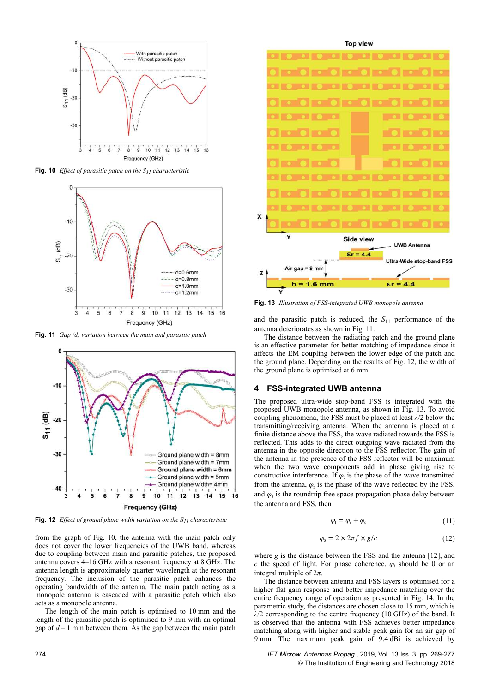

**Fig. 10** *Effect of parasitic patch on the S11 characteristic*



**Fig. 11** *Gap (d) variation between the main and parasitic patch*



**Fig. 12** *Effect of ground plane width variation on the S11 characteristic*

from the graph of Fig. 10, the antenna with the main patch only does not cover the lower frequencies of the UWB band, whereas due to coupling between main and parasitic patches, the proposed antenna covers 4–16 GHz with a resonant frequency at 8 GHz. The antenna length is approximately quarter wavelength at the resonant frequency. The inclusion of the parasitic patch enhances the operating bandwidth of the antenna. The main patch acting as a monopole antenna is cascaded with a parasitic patch which also acts as a monopole antenna.

The length of the main patch is optimised to 10 mm and the length of the parasitic patch is optimised to 9 mm with an optimal gap of  $d=1$  mm between them. As the gap between the main patch



**Top view** 

**Fig. 13** *Illustration of FSS-integrated UWB monopole antenna*

and the parasitic patch is reduced, the  $S_{11}$  performance of the antenna deteriorates as shown in Fig. 11.

The distance between the radiating patch and the ground plane is an effective parameter for better matching of impedance since it affects the EM coupling between the lower edge of the patch and the ground plane. Depending on the results of Fig. 12, the width of the ground plane is optimised at 6 mm.

#### **4 FSS-integrated UWB antenna**

The proposed ultra-wide stop-band FSS is integrated with the proposed UWB monopole antenna, as shown in Fig. 13. To avoid coupling phenomena, the FSS must be placed at least *λ*/2 below the transmitting/receiving antenna. When the antenna is placed at a finite distance above the FSS, the wave radiated towards the FSS is reflected. This adds to the direct outgoing wave radiated from the antenna in the opposite direction to the FSS reflector. The gain of the antenna in the presence of the FSS reflector will be maximum when the two wave components add in phase giving rise to constructive interference. If  $\varphi$ <sub>t</sub> is the phase of the wave transmitted from the antenna,  $\varphi$ <sub>r</sub> is the phase of the wave reflected by the FSS, and  $\varphi$ <sub>s</sub> is the roundtrip free space propagation phase delay between the antenna and FSS, then

$$
\varphi_t = \varphi_r + \varphi_s \tag{11}
$$

$$
\varphi_{\rm s} = 2 \times 2\pi f \times g/c \tag{12}
$$

where *g* is the distance between the FSS and the antenna [12], and *c* the speed of light. For phase coherence,  $\varphi$ <sub>t</sub> should be 0 or an integral multiple of 2*π*.

The distance between antenna and FSS layers is optimised for a higher flat gain response and better impedance matching over the entire frequency range of operation as presented in Fig. 14. In the parametric study, the distances are chosen close to 15 mm, which is *λ*/2 corresponding to the centre frequency (10 GHz) of the band. It is observed that the antenna with FSS achieves better impedance matching along with higher and stable peak gain for an air gap of 9 mm. The maximum peak gain of 9.4 dBi is achieved by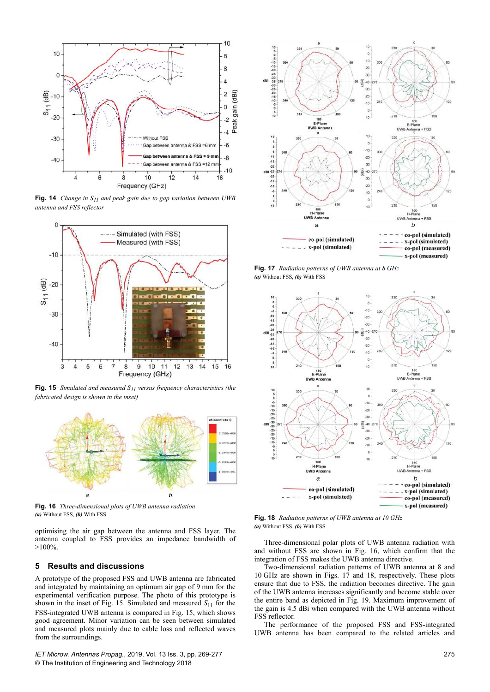

**Fig. 14** *Change in S11 and peak gain due to gap variation between UWB antenna and FSS reflector*



**Fig. 15** *Simulated and measured S11 versus frequency characteristics (the fabricated design is shown in the inset)*



**Fig. 16** *Three-dimensional plots of UWB antenna radiation (a)* Without FSS, *(b)* With FSS

optimising the air gap between the antenna and FSS layer. The antenna coupled to FSS provides an impedance bandwidth of  $>100\%$ .

## **5 Results and discussions**

A prototype of the proposed FSS and UWB antenna are fabricated and integrated by maintaining an optimum air gap of 9 mm for the experimental verification purpose. The photo of this prototype is shown in the inset of Fig. 15. Simulated and measured  $S_{11}$  for the FSS-integrated UWB antenna is compared in Fig. 15, which shows good agreement. Minor variation can be seen between simulated and measured plots mainly due to cable loss and reflected waves from the surroundings.

*IET Microw. Antennas Propag.*, 2019, Vol. 13 Iss. 3, pp. 269-277 © The Institution of Engineering and Technology 2018



**Fig. 17** *Radiation patterns of UWB antenna at 8 GHz (a)* Without FSS, *(b)* With FSS



**Fig. 18** *Radiation patterns of UWB antenna at 10 GHz (a)* Without FSS, *(b)* With FSS

Three-dimensional polar plots of UWB antenna radiation with and without FSS are shown in Fig. 16, which confirm that the integration of FSS makes the UWB antenna directive.

Two-dimensional radiation patterns of UWB antenna at 8 and 10 GHz are shown in Figs. 17 and 18, respectively. These plots ensure that due to FSS, the radiation becomes directive. The gain of the UWB antenna increases significantly and become stable over the entire band as depicted in Fig. 19. Maximum improvement of the gain is 4.5 dBi when compared with the UWB antenna without FSS reflector.

The performance of the proposed FSS and FSS-integrated UWB antenna has been compared to the related articles and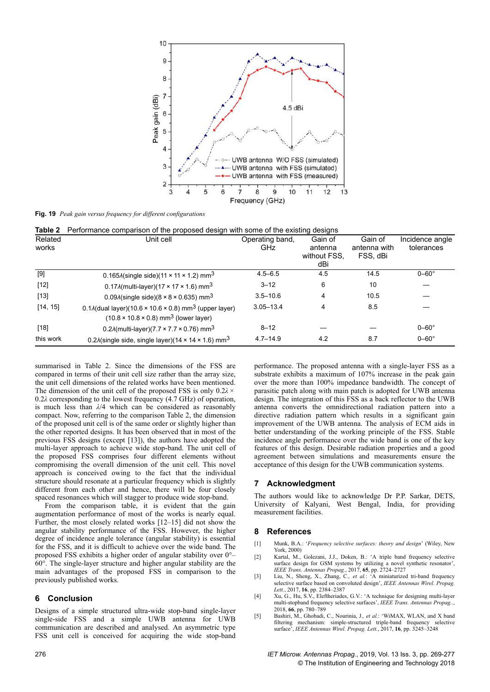

**Fig. 19** *Peak gain versus frequency for different configurations*

| Table 2          | Performance comparison of the proposed design with some of the existing designs                                                             |                        |                                           |                                     |                               |  |  |  |  |
|------------------|---------------------------------------------------------------------------------------------------------------------------------------------|------------------------|-------------------------------------------|-------------------------------------|-------------------------------|--|--|--|--|
| Related<br>works | Unit cell                                                                                                                                   | Operating band,<br>GHz | Gain of<br>antenna<br>without FSS.<br>dBi | Gain of<br>antenna with<br>FSS, dBi | Incidence angle<br>tolerances |  |  |  |  |
| $[9]$            | 0.165 $\lambda$ (single side)(11 × 11 × 1.2) mm <sup>3</sup>                                                                                | $4.5 - 6.5$            | 4.5                                       | 14.5                                | $0 - 60^\circ$                |  |  |  |  |
| $[12]$           | 0.17 $\lambda$ (multi-layer)(17 × 17 × 1.6) mm <sup>3</sup>                                                                                 | $3 - 12$               | 6                                         | 10                                  |                               |  |  |  |  |
| $[13]$           | $0.09\lambda$ (single side)(8 × 8 × 0.635) mm <sup>3</sup>                                                                                  | $3.5 - 10.6$           | 4                                         | 10.5                                |                               |  |  |  |  |
| [14, 15]         | $0.1\lambda$ (dual layer)(10.6 × 10.6 × 0.8) mm <sup>3</sup> (upper layer)<br>$(10.8 \times 10.8 \times 0.8)$ mm <sup>3</sup> (lower layer) | $3.05 - 13.4$          | 4                                         | 8.5                                 |                               |  |  |  |  |
| $[18]$           | 0.2 $\lambda$ (multi-layer)(7.7 × 7.7 × 0.76) mm <sup>3</sup>                                                                               | $8 - 12$               |                                           |                                     | $0 - 60^\circ$                |  |  |  |  |
| this work        | 0.2 $\lambda$ (single side, single layer)(14 × 14 × 1.6) mm <sup>3</sup>                                                                    | $4.7 - 14.9$           | 4.2                                       | 8.7                                 | $0 - 60^\circ$                |  |  |  |  |

summarised in Table 2. Since the dimensions of the FSS are compared in terms of their unit cell size rather than the array size, the unit cell dimensions of the related works have been mentioned. The dimension of the unit cell of the proposed FSS is only 0.2*λ* ×  0.2*λ* corresponding to the lowest frequency (4.7 GHz) of operation, is much less than *λ*/4 which can be considered as reasonably compact. Now, referring to the comparison Table 2, the dimension of the proposed unit cell is of the same order or slightly higher than the other reported designs. It has been observed that in most of the previous FSS designs (except [13]), the authors have adopted the multi-layer approach to achieve wide stop-band. The unit cell of the proposed FSS comprises four different elements without compromising the overall dimension of the unit cell. This novel approach is conceived owing to the fact that the individual structure should resonate at a particular frequency which is slightly different from each other and hence, there will be four closely spaced resonances which will stagger to produce wide stop-band.

From the comparison table, it is evident that the gain augmentation performance of most of the works is nearly equal. Further, the most closely related works [12–15] did not show the angular stability performance of the FSS. However, the higher degree of incidence angle tolerance (angular stability) is essential for the FSS, and it is difficult to achieve over the wide band. The proposed FSS exhibits a higher order of angular stability over 0°–  $60^\circ$ . The single-layer structure and higher angular stability are the main advantages of the proposed FSS in comparison to the previously published works.

# **6 Conclusion**

Designs of a simple structured ultra-wide stop-band single-layer single-side FSS and a simple UWB antenna for UWB communication are described and analysed. An asymmetric type FSS unit cell is conceived for acquiring the wide stop-band performance. The proposed antenna with a single-layer FSS as a substrate exhibits a maximum of 107% increase in the peak gain over the more than 100% impedance bandwidth. The concept of parasitic patch along with main patch is adopted for UWB antenna design. The integration of this FSS as a back reflector to the UWB antenna converts the omnidirectional radiation pattern into a directive radiation pattern which results in a significant gain improvement of the UWB antenna. The analysis of ECM aids in better understanding of the working principle of the FSS. Stable incidence angle performance over the wide band is one of the key features of this design. Desirable radiation properties and a good agreement between simulations and measurements ensure the acceptance of this design for the UWB communication systems.

# **7 Acknowledgment**

The authors would like to acknowledge Dr P.P. Sarkar, DETS, University of Kalyani, West Bengal, India, for providing measurement facilities.

# **8 References**

- [1] Munk, B.A.: '*Frequency selective surfaces: theory and design*' (Wiley, New York, 2000)
- [2] Kartal, M., Golezani, J.J., Doken, B.: 'A triple band frequency selective surface design for GSM systems by utilizing a novel synthetic resonator'. *IEEE Trans. Antennas Propag.*, 2017, **65**, pp. 2724–2727
- [3] Liu, N., Sheng, X., Zhang, C.*, et al.*: 'A miniaturized tri-band frequency selective surface based on convoluted design', *IEEE Antennas Wirel. Propag. Lett.*, 2017, **16**, pp. 2384–2387
- [4] Xu, G., Hu, S.V., Eleftheriades, G.V.: 'A technique for designing multi-layer multi-stopband frequency selective surfaces', *IEEE Trans. Antennas Propag..*, 2018, **66**, pp. 780–789
- [5] Bashiri, M., Ghobadi, C., Nourinia, J.*, et al.*: 'WiMAX, WLAN, and X band filtering mechanism: simple-structured triple-band frequency selective surface', *IEEE Antennas Wirel. Propag. Lett.*, 2017, **16**, pp. 3245–3248